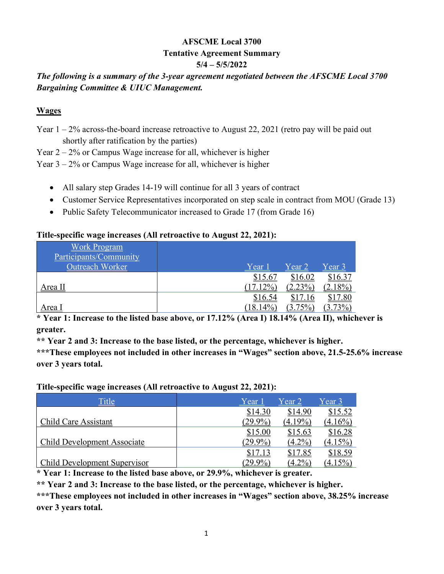# AFSCME Local 3700 Tentative Agreement Summary 5/4 – 5/5/2022

# The following is a summary of the 3-year agreement negotiated between the AFSCME Local 3700 Bargaining Committee & UIUC Management.

### **Wages**

Year 1 – 2% across-the-board increase retroactive to August 22, 2021 (retro pay will be paid out shortly after ratification by the parties)

Year  $2 - 2\%$  or Campus Wage increase for all, whichever is higher

Year 3 – 2% or Campus Wage increase for all, whichever is higher

- All salary step Grades 14-19 will continue for all 3 years of contract
- Customer Service Representatives incorporated on step scale in contract from MOU (Grade 13)
- Public Safety Telecommunicator increased to Grade 17 (from Grade 16)

#### Title-specific wage increases (All retroactive to August 22, 2021):

| <b>Work Program</b><br>Participants/Community<br>Outreach Worker | Year 1      | Year 2     | <u>Year 3</u> |
|------------------------------------------------------------------|-------------|------------|---------------|
|                                                                  | \$15.67     | \$16.02    | \$16.37       |
| Area II                                                          | $17.12\%$   | $(2.23\%)$ | $(2.18\%)$    |
|                                                                  | \$16.54     | \$17.16    | \$17.80       |
| <u>Area I</u>                                                    | $(18.14\%)$ | $(3.75\%)$ | $(3.73\%)$    |

\* Year 1: Increase to the listed base above, or 17.12% (Area I) 18.14% (Area II), whichever is greater.

\*\* Year 2 and 3: Increase to the base listed, or the percentage, whichever is higher.

\*\*\*These employees not included in other increases in "Wages" section above, 21.5-25.6% increase over 3 years total.

Title-specific wage increases (All retroactive to August 22, 2021):

| <b>Title</b>                        | Year 1     | Year 2     | Year 3     |
|-------------------------------------|------------|------------|------------|
|                                     | \$14.30    | \$14.90    | \$15.52    |
| Child Care Assistant                | $(29.9\%)$ | $(4.19\%)$ | $(4.16\%)$ |
|                                     | \$15.00    | \$15.63    | \$16.28    |
| <b>Child Development Associate</b>  | 29.9%)     | $(4.2\%)$  | $(4.15\%)$ |
|                                     | \$17.13    | \$17.85    | \$18.59    |
| <b>Child Development Supervisor</b> | 29.9%      | $(4.2\%)$  |            |

\* Year 1: Increase to the listed base above, or 29.9%, whichever is greater.

\*\* Year 2 and 3: Increase to the base listed, or the percentage, whichever is higher.

\*\*\*These employees not included in other increases in "Wages" section above, 38.25% increase over 3 years total.